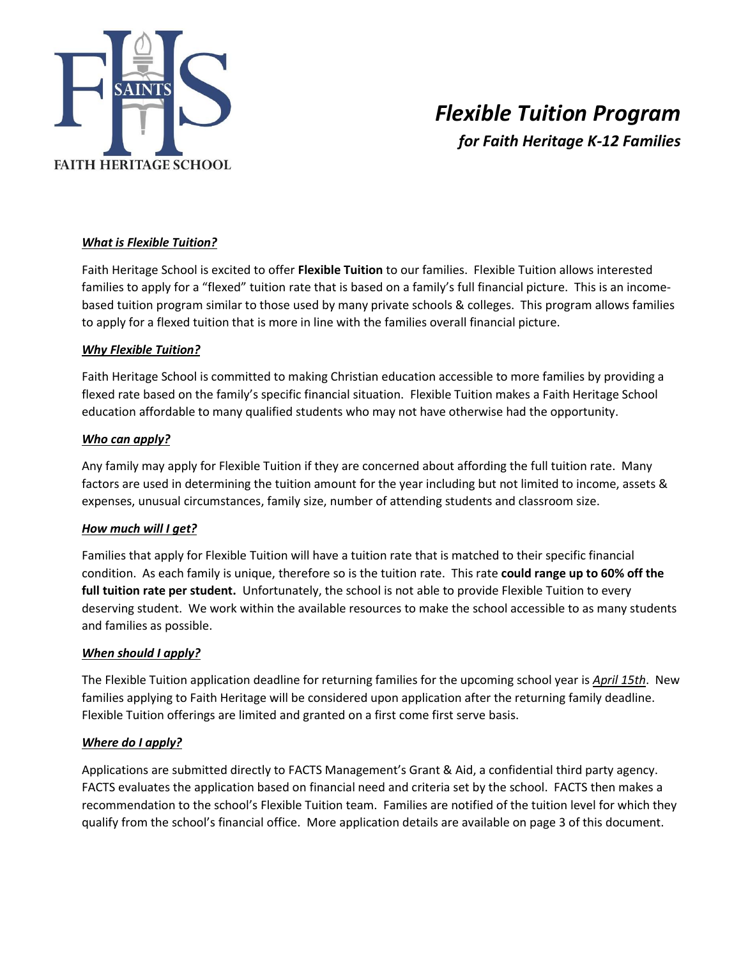

# *Flexible Tuition Program for Faith Heritage K-12 Families*

# *What is Flexible Tuition?*

Faith Heritage School is excited to offer **Flexible Tuition** to our families. Flexible Tuition allows interested families to apply for a "flexed" tuition rate that is based on a family's full financial picture. This is an incomebased tuition program similar to those used by many private schools & colleges. This program allows families to apply for a flexed tuition that is more in line with the families overall financial picture.

#### *Why Flexible Tuition?*

Faith Heritage School is committed to making Christian education accessible to more families by providing a flexed rate based on the family's specific financial situation. Flexible Tuition makes a Faith Heritage School education affordable to many qualified students who may not have otherwise had the opportunity.

# *Who can apply?*

Any family may apply for Flexible Tuition if they are concerned about affording the full tuition rate. Many factors are used in determining the tuition amount for the year including but not limited to income, assets & expenses, unusual circumstances, family size, number of attending students and classroom size.

#### *How much will I get?*

Families that apply for Flexible Tuition will have a tuition rate that is matched to their specific financial condition. As each family is unique, therefore so is the tuition rate. This rate **could range up to 60% off the full tuition rate per student.** Unfortunately, the school is not able to provide Flexible Tuition to every deserving student. We work within the available resources to make the school accessible to as many students and families as possible.

#### *When should I apply?*

The Flexible Tuition application deadline for returning families for the upcoming school year is *April 15th*. New families applying to Faith Heritage will be considered upon application after the returning family deadline. Flexible Tuition offerings are limited and granted on a first come first serve basis.

#### *Where do I apply?*

Applications are submitted directly to FACTS Management's Grant & Aid, a confidential third party agency. FACTS evaluates the application based on financial need and criteria set by the school. FACTS then makes a recommendation to the school's Flexible Tuition team. Families are notified of the tuition level for which they qualify from the school's financial office. More application details are available on page 3 of this document.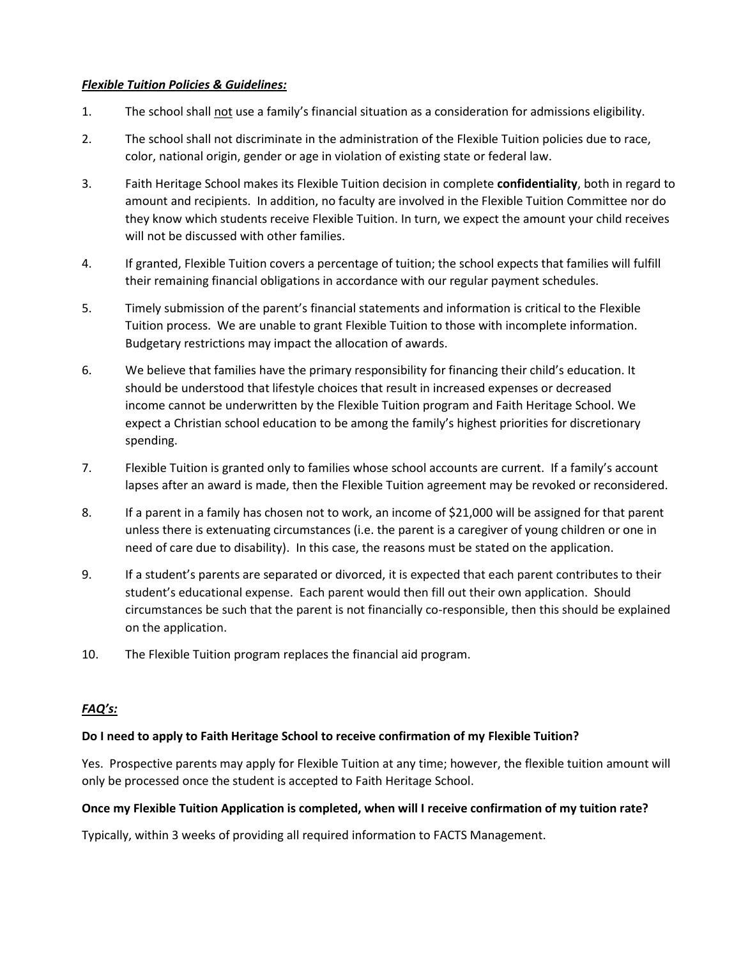#### *Flexible Tuition Policies & Guidelines:*

- 1. The school shall not use a family's financial situation as a consideration for admissions eligibility.
- 2. The school shall not discriminate in the administration of the Flexible Tuition policies due to race, color, national origin, gender or age in violation of existing state or federal law.
- 3. Faith Heritage School makes its Flexible Tuition decision in complete **confidentiality**, both in regard to amount and recipients. In addition, no faculty are involved in the Flexible Tuition Committee nor do they know which students receive Flexible Tuition. In turn, we expect the amount your child receives will not be discussed with other families.
- 4. If granted, Flexible Tuition covers a percentage of tuition; the school expects that families will fulfill their remaining financial obligations in accordance with our regular payment schedules.
- 5. Timely submission of the parent's financial statements and information is critical to the Flexible Tuition process. We are unable to grant Flexible Tuition to those with incomplete information. Budgetary restrictions may impact the allocation of awards.
- 6. We believe that families have the primary responsibility for financing their child's education. It should be understood that lifestyle choices that result in increased expenses or decreased income cannot be underwritten by the Flexible Tuition program and Faith Heritage School. We expect a Christian school education to be among the family's highest priorities for discretionary spending.
- 7. Flexible Tuition is granted only to families whose school accounts are current. If a family's account lapses after an award is made, then the Flexible Tuition agreement may be revoked or reconsidered.
- 8. If a parent in a family has chosen not to work, an income of \$21,000 will be assigned for that parent unless there is extenuating circumstances (i.e. the parent is a caregiver of young children or one in need of care due to disability). In this case, the reasons must be stated on the application.
- 9. If a student's parents are separated or divorced, it is expected that each parent contributes to their student's educational expense. Each parent would then fill out their own application. Should circumstances be such that the parent is not financially co-responsible, then this should be explained on the application.
- 10. The Flexible Tuition program replaces the financial aid program.

# *FAQ's:*

# **Do I need to apply to Faith Heritage School to receive confirmation of my Flexible Tuition?**

Yes. Prospective parents may apply for Flexible Tuition at any time; however, the flexible tuition amount will only be processed once the student is accepted to Faith Heritage School.

#### **Once my Flexible Tuition Application is completed, when will I receive confirmation of my tuition rate?**

Typically, within 3 weeks of providing all required information to FACTS Management.